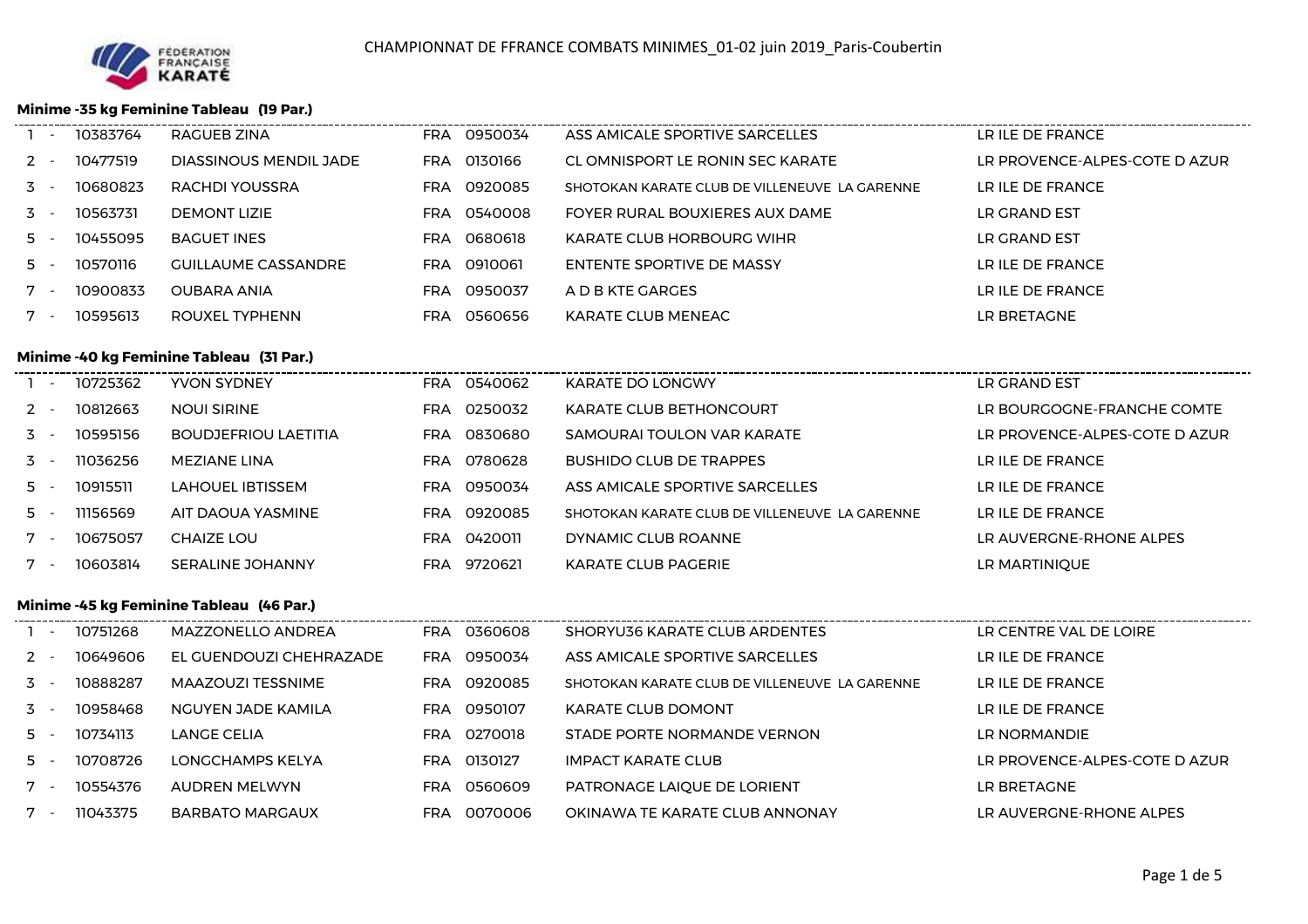

## **Minime -35 kg Feminine Tableau (19 Par.)**

| $\sim$ $-$ | 10383764 | RAGUEB ZINA                | 0950034<br>FRA        | ASS AMICALE SPORTIVE SARCELLES                | LR ILE DE FRANCE              |
|------------|----------|----------------------------|-----------------------|-----------------------------------------------|-------------------------------|
| $2 -$      | 10477519 | DIASSINOUS MENDIL JADE     | 0130166<br><b>FRA</b> | CL OMNISPORT LE RONIN SEC KARATE              | LR PROVENCE-ALPES-COTE D AZUR |
| $3 -$      | 10680823 | RACHDI YOUSSRA             | 0920085<br>FRA.       | SHOTOKAN KARATE CLUB DE VILLENEUVE LA GARENNE | LR ILE DE FRANCE              |
| $3 -$      | 10563731 | <b>DEMONT LIZIE</b>        | 0540008<br>FRA        | FOYER RURAL BOUXIERES AUX DAME                | LR GRAND EST                  |
| 5 -        | 10455095 | <b>BAGUET INES</b>         | 0680618<br><b>FRA</b> | KARATE CLUB HORBOURG WIHR                     | LR GRAND EST                  |
| 5 -        | 10570116 | <b>GUILLAUME CASSANDRE</b> | 0910061<br>FRA.       | ENTENTE SPORTIVE DE MASSY                     | LR ILE DE FRANCE              |
|            | 10900833 | <b>OUBARA ANIA</b>         | 0950037<br>FRA.       | A D B KTE GARGES                              | LR ILE DE FRANCE              |
| 7.         | 10595613 | ROUXEL TYPHENN             | 0560656<br>FRA        | KARATE CLUB MENEAC                            | LR BRETAGNE                   |
|            |          |                            |                       |                                               |                               |

#### **Minime -40 kg Feminine Tableau (31 Par.)**

 $\ddot{\phantom{a}}$ 

|       | 10725362 | YVON SYDNEY                 | FRA        | 0540062 | KARATE DO LONGWY                              | LR GRAND EST                  |
|-------|----------|-----------------------------|------------|---------|-----------------------------------------------|-------------------------------|
| $2 -$ | 10812663 | <b>NOULSIRINE</b>           | <b>FRA</b> | 0250032 | <b>KARATE CLUB BETHONCOURT</b>                | LR BOURGOGNE-FRANCHE COMTE    |
| $3 -$ | 10595156 | <b>BOUDJEFRIOU LAETITIA</b> | <b>FRA</b> | 0830680 | SAMOURAI TOULON VAR KARATE                    | LR PROVENCE-ALPES-COTE D AZUR |
| $3 -$ | 11036256 | MEZIANE LINA                | <b>FRA</b> | 0780628 | <b>BUSHIDO CLUB DE TRAPPES</b>                | LR ILE DE FRANCE              |
| $5 -$ | 10915511 | LAHOUEL IBTISSEM            | FRA.       | 0950034 | ASS AMICALE SPORTIVE SARCELLES                | LR ILE DE FRANCE              |
| $5 -$ | 11156569 | AIT DAOUA YASMINE           | <b>FRA</b> | 0920085 | SHOTOKAN KARATE CLUB DE VILLENEUVE LA GARENNE | LR ILE DE FRANCE              |
| $7 -$ | 10675057 | <b>CHAIZE LOU</b>           | FRA.       | 0420011 | DYNAMIC CLUB ROANNE                           | LR AUVERGNE-RHONE ALPES       |
| $7 -$ | 10603814 | SERALINE JOHANNY            | FRA        | 9720621 | KARATE CLUB PAGERIE                           | LR MARTINIOUE                 |

### **Minime -45 kg Feminine Tableau (46 Par.)**

| $\overline{\phantom{a}}$ | 10751268 | MAZZONELLO ANDREA       | FRA 0360608    | SHORYU36 KARATE CLUB ARDENTES                 | LR CENTRE VAL DE LOIRE        |
|--------------------------|----------|-------------------------|----------------|-----------------------------------------------|-------------------------------|
| $2 -$                    | 10649606 | EL GUENDOUZI CHEHRAZADE | FRA 0950034    | ASS AMICALE SPORTIVE SARCELLES                | LR ILE DE FRANCE              |
| $3 -$                    | 10888287 | MAAZOUZI TESSNIME       | FRA 0920085    | SHOTOKAN KARATE CLUB DE VILLENEUVE LA GARENNE | LR ILE DE FRANCE              |
| $\overline{5}$ -         | 10958468 | NGUYEN JADE KAMILA      | FRA 0950107    | <b>KARATE CLUB DOMONT</b>                     | LR ILE DE FRANCE              |
| 5 -                      | 10734113 | LANGE CELIA             | 0270018<br>FRA | STADE PORTE NORMANDE VERNON                   | LR NORMANDIE                  |
| $5 -$                    | 10708726 | LONGCHAMPS KELYA        | 0130127<br>FRA | <b>IMPACT KARATE CLUB</b>                     | LR PROVENCE-ALPES-COTE D AZUR |
| $7 -$                    | 10554376 | AUDREN MELWYN           | FRA 0560609    | PATRONAGE LAIQUE DE LORIENT                   | LR BRETAGNE                   |
| $7 -$                    | 11043375 | <b>BARBATO MARGAUX</b>  | 0070006<br>FRA | OKINAWA TE KARATE CLUB ANNONAY                | LR AUVERGNE-RHONE ALPES       |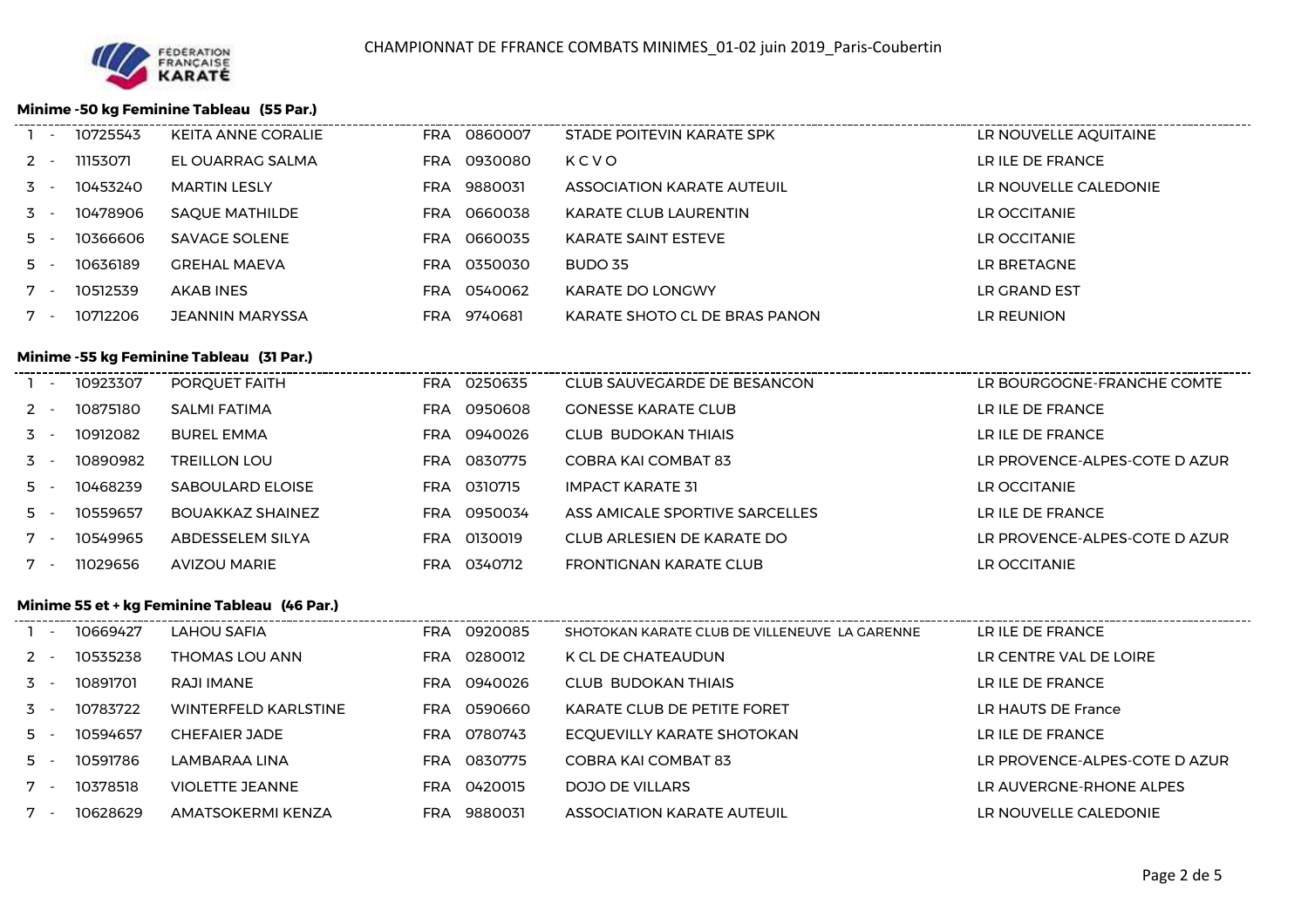

### **Minime -50 kg Feminine Tableau (55 Par.)**

| $\mathbf{1}$ $\mathbf{2}$ | 10725543 | KEITA ANNE CORALIE                       |            | FRA 0860007 | STADE POITEVIN KARATE SPK     | LR NOUVELLE AQUITAINE      |
|---------------------------|----------|------------------------------------------|------------|-------------|-------------------------------|----------------------------|
| $2 -$                     | 11153071 | EL OUARRAG SALMA                         |            | FRA 0930080 | KCVO                          | LR ILE DE FRANCE           |
| 3 -                       | 10453240 | <b>MARTIN LESLY</b>                      |            | FRA 9880031 | ASSOCIATION KARATE AUTEUIL    | LR NOUVELLE CALEDONIE      |
| 3 -                       | 10478906 | <b>SAQUE MATHILDE</b>                    |            | FRA 0660038 | KARATE CLUB LAURENTIN         | LR OCCITANIE               |
| 5 -                       | 10366606 | SAVAGE SOLENE                            |            | FRA 0660035 | <b>KARATE SAINT ESTEVE</b>    | LR OCCITANIE               |
| 5 -                       | 10636189 | <b>GREHAL MAEVA</b>                      |            | FRA 0350030 | BUDO 35                       | LR BRETAGNE                |
| $7 -$                     | 10512539 | AKAB INES                                |            | FRA 0540062 | <b>KARATE DO LONGWY</b>       | LR GRAND EST               |
| $7 -$                     | 10712206 | <b>JEANNIN MARYSSA</b>                   |            | FRA 9740681 | KARATE SHOTO CL DE BRAS PANON | LR REUNION                 |
|                           |          | Minime -55 kg Feminine Tableau (31 Par.) |            |             |                               |                            |
| $1 -$                     | 10923307 | PORQUET FAITH                            |            | FRA 0250635 | CLUB SAUVEGARDE DE BESANCON   | LR BOURGOGNE-FRANCHE COMTE |
| $2 -$                     | 10875180 | <b>SALMI FATIMA</b>                      |            | FRA 0950608 | <b>GONESSE KARATE CLUB</b>    | LR ILE DE FRANCE           |
| 3 -                       | 10912082 | <b>BUREL EMMA</b>                        | <b>FRA</b> | 0940026     | CLUB BUDOKAN THIAIS           | LR ILE DE FRANCE           |
|                           |          |                                          |            |             |                               |                            |

FRA 0310715

FRA 0950034

FRA 0340712

FRA <sup>0830775</sup> COBRA KAI COMBAT 83 LR PROVENCE-ALPES-COTE D AZUR

IMPACT KARATE 31 LA LA LA LA LA LA LA LA COCITANIE

FRONTIGNAN KARATE CLUB LAND LAND LAND CONTANIE

ASS AMICALE SPORTIVE SARCELLES LATENTIAL LATE DE FRANCE

#### **Minime 55 et + kg Feminine Tableau (46 Par.)**

SABOULARD ELOISE

BOUAKKAZ SHAINEZ

ABDESSELEM SILYA

AVIZOU MARIE

3 - <sup>10890982</sup> TREILLON LOU

5 - <sup>10468239</sup>

5 - 10559657

7 - <sup>10549965</sup>

7 - <sup>11029656</sup>

| - -   | 10669427 | LAHOU SAFIA            | <b>FRA</b> | 0920085 | SHOTOKAN KARATE CLUB DE VILLENEUVE LA GARENNE | LR ILE DE FRANCE              |
|-------|----------|------------------------|------------|---------|-----------------------------------------------|-------------------------------|
| $2 -$ | 10535238 | THOMAS LOU ANN         | <b>FRA</b> | 0280012 | K CL DE CHATEAUDUN                            | LR CENTRE VAL DE LOIRE        |
| $3 -$ | 10891701 | RAJI IMANE             | <b>FRA</b> | 0940026 | CLUB BUDOKAN THIAIS                           | LR ILE DE FRANCE              |
| $3 -$ | 10783722 | WINTERFFLD KARLSTINF   | <b>FRA</b> | 0590660 | KARATE CLUB DE PETITE FORET                   | LR HAUTS DE France            |
| 5 -   | 10594657 | CHEFAIER JADE          | <b>FRA</b> | 0780743 | ECQUEVILLY KARATE SHOTOKAN                    | LR ILE DE FRANCE              |
| 5 -   | 10591786 | LAMBARAA LINA          | <b>FRA</b> | 0830775 | COBRA KAI COMBAT 83                           | LR PROVENCE-ALPES-COTE D AZUR |
| $7 -$ | 10378518 | <b>VIOLETTE JEANNE</b> | <b>FRA</b> | 0420015 | DOJO DE VILLARS                               | LR AUVERGNE-RHONE ALPES       |
| 7 -   | 10628629 | AMATSOKFRMI KFN7A      | <b>FRA</b> | 9880031 | <b>ASSOCIATION KARATE AUTEUIL</b>             | I R NOUVELLE CALEDONIE        |

FRA <sup>0130019</sup> CLUB ARLESIEN DE KARATE DO

LR PROVENCE-ALPES-COTE D AZUR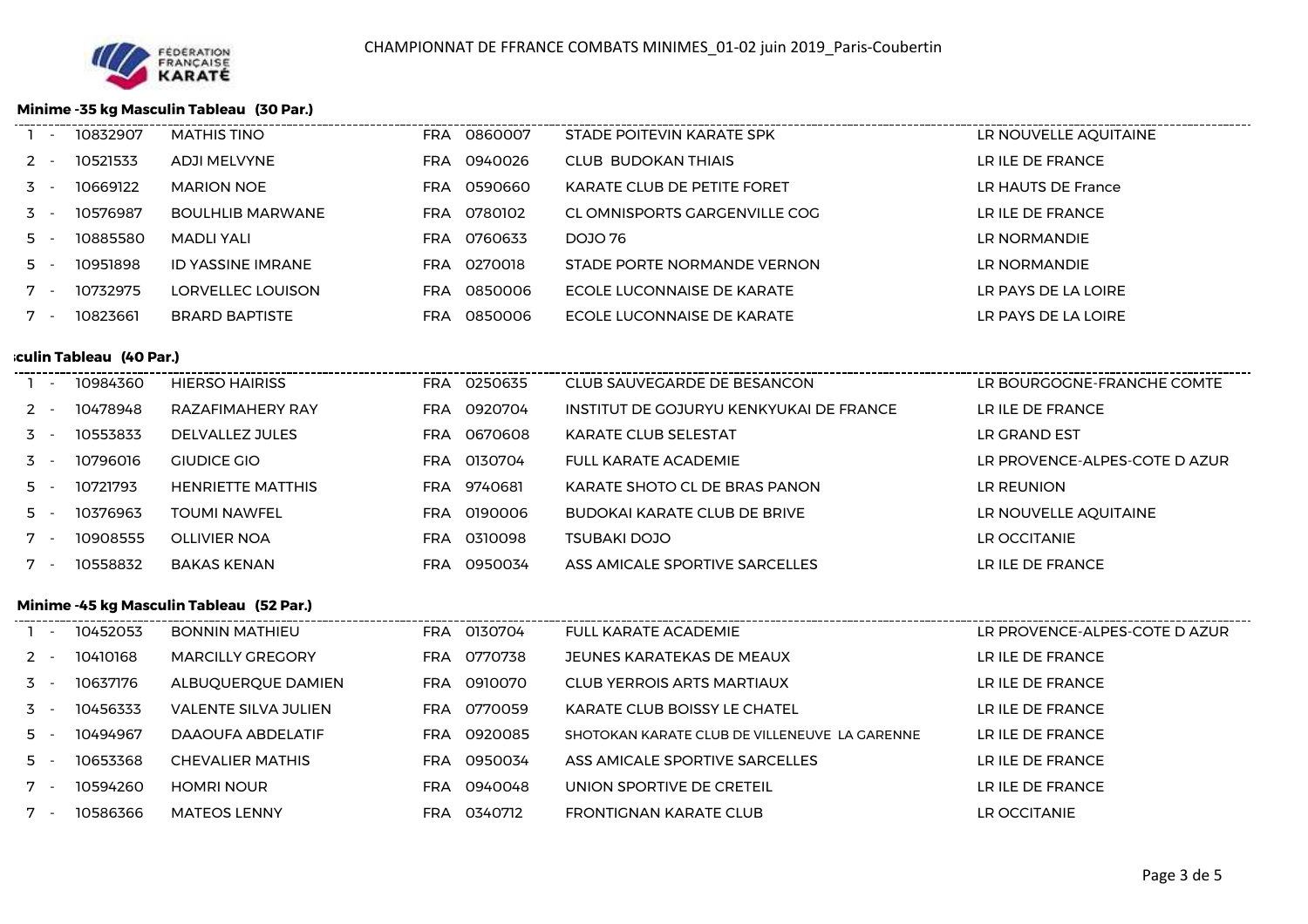

## **Minime -35 kg Masculin Tableau (30 Par.)**

| $\sim$ | 10832907 | <b>MATHIS TINO</b>      |     | FRA 0860007 | STADE POITEVIN KARATE SPK     | LR NOUVELLE AQUITAINE |
|--------|----------|-------------------------|-----|-------------|-------------------------------|-----------------------|
| $2 -$  | 10521533 | <b>ADJI MELVYNE</b>     | FRA | 0940026     | <b>CLUB BUDOKAN THIAIS</b>    | LR ILE DE FRANCE      |
| $3 -$  | 10669122 | <b>MARION NOE</b>       |     | FRA 0590660 | KARATE CLUB DE PETITE FORET   | LR HAUTS DE France    |
| $3 -$  | 10576987 | <b>BOULHLIB MARWANE</b> |     | FRA 0780102 | CL OMNISPORTS GARGENVILLE COG | LR ILE DE FRANCE      |
| $5 -$  | 10885580 | MADLI YALI              | FRA | 0760633     | DOJO 76                       | LR NORMANDIE          |
| $5 -$  | 10951898 | ID YASSINE IMRANE       |     | FRA 0270018 | STADE PORTE NORMANDE VERNON   | LR NORMANDIE          |
| $7 -$  | 10732975 | LORVELLEC LOUISON       | FRA | 0850006     | ECOLE LUCONNAISE DE KARATE    | LR PAYS DE LA LOIRE   |
| $7 -$  | 10823661 | <b>BRARD BAPTISTE</b>   | FRA | 0850006     | ECOLE LUCONNAISE DE KARATE    | LR PAYS DE LA LOIRE   |
|        |          |                         |     |             |                               |                       |

### *M***iculin Tableau (40 Par.)**

| $\sim$ | 10984360 | <b>HIFRSO HAIRISS</b>    | 0250635<br><b>FRA</b> | CLUB SAUVEGARDE DE BESANCON             | <b>IR BOURGOGNE-FRANCHE COMTE</b> |
|--------|----------|--------------------------|-----------------------|-----------------------------------------|-----------------------------------|
| 2 -    | 10478948 | RAZAFIMAHFRY RAY         | 0920704<br><b>FRA</b> | INSTITUT DE GOJURYU KENKYUKAI DE FRANCE | LR ILE DE FRANCE                  |
| $3 -$  | 10553833 | DELVALLEZ JULES          | 0670608<br><b>FRA</b> | KARATE CLUB SELESTAT                    | LR GRAND EST                      |
| $3 -$  | 10796016 | GIUDICE GIO              | 0130704<br><b>FRA</b> | FULL KARATE ACADEMIE                    | I R PROVENCE-AI PES-COTE D AZUR   |
| 5 -    | 10721793 | <b>HENRIETTE MATTHIS</b> | FRA 9740681           | KARATE SHOTO CL DE BRAS PANON           | LR REUNION                        |
| 5 -    | 10376963 | <b>TOUMI NAWFFI</b>      | 0190006<br>FRA        | <b>BUDOKAI KARATE CLUB DE BRIVE</b>     | LR NOUVELLE AQUITAINE             |
|        | 10908555 | OLLIVIER NOA             | 0310098<br>FRA        | TSUBAKI DOJO                            | <b>I R OCCITANIF</b>              |
|        | 10558832 | <b>BAKAS KENAN</b>       | 0950034<br>FRA        | ASS AMICALE SPORTIVE SARCELLES          | LR ILE DE FRANCE                  |
|        |          |                          |                       |                                         |                                   |

### **Minime -45 kg Masculin Tableau (52 Par.)**

| $\overline{\phantom{0}}$ | 10452053 | BONNIN MATHIEU          | FRA 0130704           | <b>FULL KARATE ACADEMIE</b>                   | LR PROVENCE-ALPES-COTE D AZUR |
|--------------------------|----------|-------------------------|-----------------------|-----------------------------------------------|-------------------------------|
|                          | 10410168 | <b>MARCILLY GREGORY</b> | FRA 0770738           | JEUNES KARATEKAS DE MEAUX                     | LR ILE DE FRANCE              |
| $3 -$                    | 10637176 | ALBUQUERQUE DAMIEN      | FRA 0910070           | <b>CLUB YERROIS ARTS MARTIAUX</b>             | LR ILE DE FRANCE              |
| $3 -$                    | 10456333 | VALENTE SILVA JULIEN    | 0770059<br>FRA        | <b>KARATE CLUB BOISSY LE CHATEL</b>           | LR ILE DE FRANCE              |
| 5.                       | 10494967 | DAAOUFA ABDELATIF       | FRA 0920085           | SHOTOKAN KARATE CLUB DE VILLENEUVE LA GARENNE | LR ILE DE FRANCE              |
| 5.                       | 10653368 | <b>CHEVALIER MATHIS</b> | 0950034<br>FRA        | ASS AMICALE SPORTIVE SARCELLES                | LR ILE DE FRANCE              |
|                          | 10594260 | <b>HOMRI NOUR</b>       | 0940048<br>FRA        | UNION SPORTIVE DE CRETEIL                     | LR ILE DE FRANCE              |
|                          | 10586366 | <b>MATEOS LENNY</b>     | 0340712<br><b>FRA</b> | <b>FRONTIGNAN KARATE CLUB</b>                 | LR OCCITANIE                  |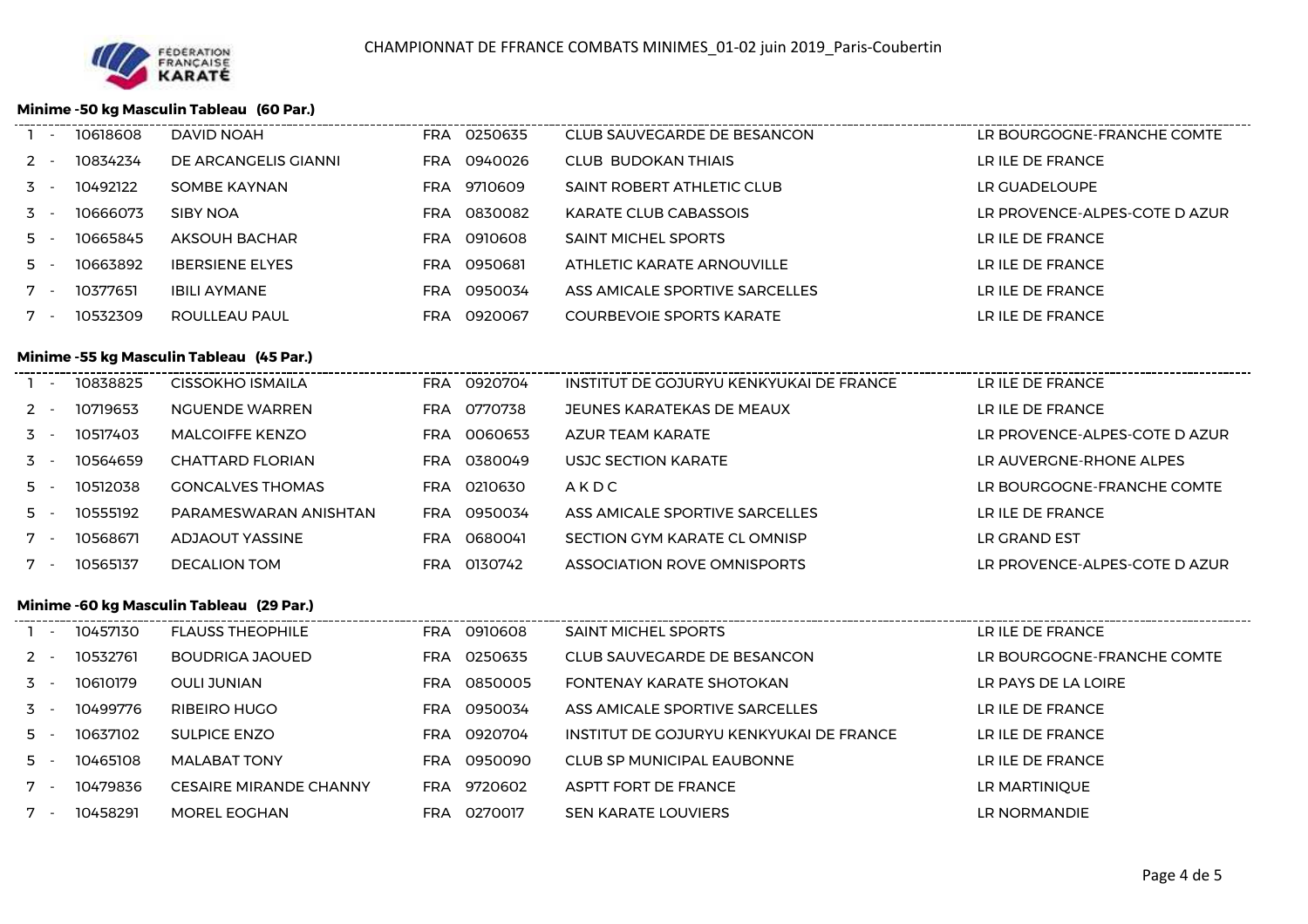

l.

j.

### **Minime -50 kg Masculin Tableau (60 Par.)**

| 10834234<br>DE ARCANGELIS GIANNI<br>FRA 0940026<br>CLUB BUDOKAN THIAIS<br>LR ILE DE FRANCE<br>$2 -$<br>9710609<br>10492122<br>SAINT ROBERT ATHLETIC CLUB<br>LR GUADELOUPE<br>$3 -$<br>SOMBE KAYNAN<br>FRA<br>0830082<br>10666073<br>SIBY NOA<br><b>KARATE CLUB CABASSOIS</b><br>LR PROVENCE-ALPES-COTE D AZUR<br>$3 -$<br>FRA<br>10665845<br>0910608<br>$5 -$<br>AKSOUH BACHAR<br><b>SAINT MICHEL SPORTS</b><br>LR ILE DE FRANCE<br>FRA<br>10663892<br>FRA 0950681<br>LR ILE DE FRANCE<br><b>IBERSIENE ELYES</b><br>ATHLETIC KARATE ARNOUVILLE<br>$5 -$ |  |
|---------------------------------------------------------------------------------------------------------------------------------------------------------------------------------------------------------------------------------------------------------------------------------------------------------------------------------------------------------------------------------------------------------------------------------------------------------------------------------------------------------------------------------------------------------|--|
|                                                                                                                                                                                                                                                                                                                                                                                                                                                                                                                                                         |  |
|                                                                                                                                                                                                                                                                                                                                                                                                                                                                                                                                                         |  |
|                                                                                                                                                                                                                                                                                                                                                                                                                                                                                                                                                         |  |
|                                                                                                                                                                                                                                                                                                                                                                                                                                                                                                                                                         |  |
|                                                                                                                                                                                                                                                                                                                                                                                                                                                                                                                                                         |  |
| 0950034<br>10377651<br><b>IBILI AYMANE</b><br>LR ILE DE FRANCE<br>ASS AMICALE SPORTIVE SARCELLES<br>$7 -$<br>FRA                                                                                                                                                                                                                                                                                                                                                                                                                                        |  |
| 10532309<br>0920067<br>LR ILE DE FRANCE<br><b>COURBEVOIE SPORTS KARATE</b><br>ROULLEAU PAUL<br>FRA                                                                                                                                                                                                                                                                                                                                                                                                                                                      |  |

# **Minime -55 kg Masculin Tableau (45 Par.)**

| $\sim$ | 10838825 | CISSOKHO ISMAILA        | <b>FRA</b> | 0920704 | INSTITUT DE GOJURYU KENKYUKAI DE FRANCE | LR ILE DE FRANCE              |
|--------|----------|-------------------------|------------|---------|-----------------------------------------|-------------------------------|
| $2 -$  | 10719653 | NGUENDE WARREN          | <b>FRA</b> | 0770738 | JEUNES KARATEKAS DE MEAUX               | LR ILE DE FRANCE              |
| $3 -$  | 10517403 | MAI COIFFF KFNZO        | FRA        | 0060653 | AZUR TEAM KARATE                        | LR PROVENCE-ALPES-COTE D AZUR |
| $3 -$  | 10564659 | CHATTARD FLORIAN        | FRA        | 0380049 | USJC SECTION KARATE                     | LR AUVERGNE-RHONE ALPES       |
| $5 -$  | 10512038 | <b>GONCALVES THOMAS</b> | FRA        | 0210630 | AKDC                                    | LR BOURGOGNE-FRANCHE COMTE    |
| $5 -$  | 10555192 | PARAMESWARAN ANISHTAN   | <b>FRA</b> | 0950034 | ASS AMICALE SPORTIVE SARCELLES          | LR ILE DE FRANCE              |
| $7 -$  | 10568671 | ADJAOUT YASSINE         | <b>FRA</b> | 0680041 | SECTION GYM KARATE CL OMNISP            | LR GRAND EST                  |
| $7 -$  | 10565137 | <b>DECALION TOM</b>     | FRA        | 0130742 | ASSOCIATION ROVE OMNISPORTS             | LR PROVENCE-ALPES-COTE D AZUR |
|        |          |                         |            |         |                                         |                               |

### **Minime -60 kg Masculin Tableau (29 Par.)**

|       | $\sim$ | 10457130 | <b>FLAUSS THEOPHILE</b>       |     | FRA 0910608 | <b>SAINT MICHEL SPORTS</b>              | LR ILE DE FRANCE           |
|-------|--------|----------|-------------------------------|-----|-------------|-----------------------------------------|----------------------------|
| $2 -$ |        | 10532761 | BOUDRIGA JAOUED               | FRA | 0250635     | CLUB SAUVEGARDE DE BESANCON             | LR BOURGOGNE-FRANCHE COMTE |
| $3 -$ |        | 10610179 | <b>OULI JUNIAN</b>            | FRA | 0850005     | FONTENAY KARATE SHOTOKAN                | LR PAYS DE LA LOIRE        |
| $3 -$ |        | 10499776 | RIBEIRO HUGO                  | FRA | 0950034     | ASS AMICALE SPORTIVE SARCELLES          | LR ILE DE FRANCE           |
| $5 -$ |        | 10637102 | <b>SULPICE ENZO</b>           |     | FRA 0920704 | INSTITUT DE GOJURYU KENKYUKAI DE FRANCE | LR ILE DE FRANCE           |
| 5 -   |        | 10465108 | <b>MALABAT TONY</b>           | FRA | 0950090     | CLUB SP MUNICIPAL EAUBONNE              | LR ILE DE FRANCE           |
| $7 -$ |        | 10479836 | <b>CESAIRE MIRANDE CHANNY</b> | FRA | 9720602     | ASPTT FORT DE FRANCE                    | LR MARTINIQUE              |
| $7 -$ |        | 10458291 | MOREL EOGHAN                  | FRA | 0270017     | <b>SEN KARATE LOUVIERS</b>              | LR NORMANDIE               |
|       |        |          |                               |     |             |                                         |                            |